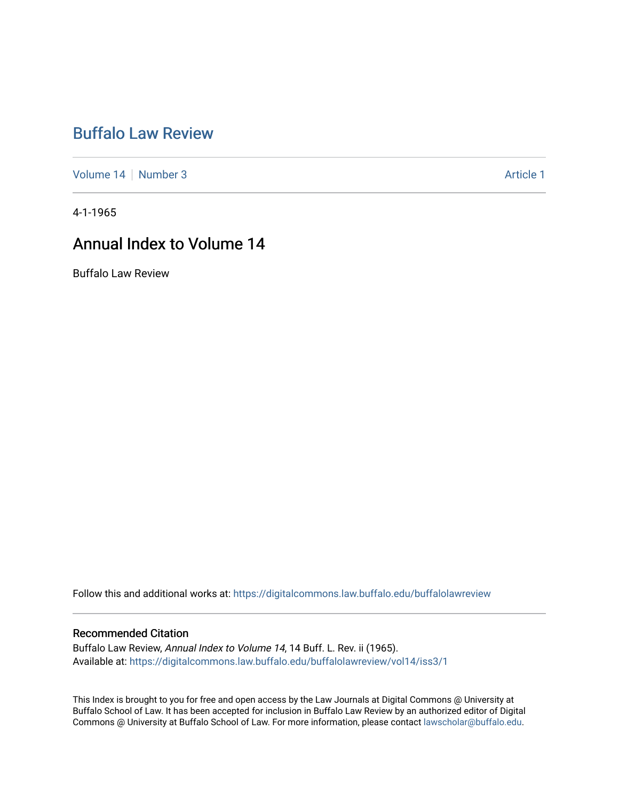## [Buffalo Law Review](https://digitalcommons.law.buffalo.edu/buffalolawreview)

[Volume 14](https://digitalcommons.law.buffalo.edu/buffalolawreview/vol14) [Number 3](https://digitalcommons.law.buffalo.edu/buffalolawreview/vol14/iss3) Article 1

4-1-1965

## Annual Index to Volume 14

Buffalo Law Review

Follow this and additional works at: [https://digitalcommons.law.buffalo.edu/buffalolawreview](https://digitalcommons.law.buffalo.edu/buffalolawreview?utm_source=digitalcommons.law.buffalo.edu%2Fbuffalolawreview%2Fvol14%2Fiss3%2F1&utm_medium=PDF&utm_campaign=PDFCoverPages) 

#### Recommended Citation

Buffalo Law Review, Annual Index to Volume 14, 14 Buff. L. Rev. ii (1965). Available at: [https://digitalcommons.law.buffalo.edu/buffalolawreview/vol14/iss3/1](https://digitalcommons.law.buffalo.edu/buffalolawreview/vol14/iss3/1?utm_source=digitalcommons.law.buffalo.edu%2Fbuffalolawreview%2Fvol14%2Fiss3%2F1&utm_medium=PDF&utm_campaign=PDFCoverPages) 

This Index is brought to you for free and open access by the Law Journals at Digital Commons @ University at Buffalo School of Law. It has been accepted for inclusion in Buffalo Law Review by an authorized editor of Digital Commons @ University at Buffalo School of Law. For more information, please contact [lawscholar@buffalo.edu](mailto:lawscholar@buffalo.edu).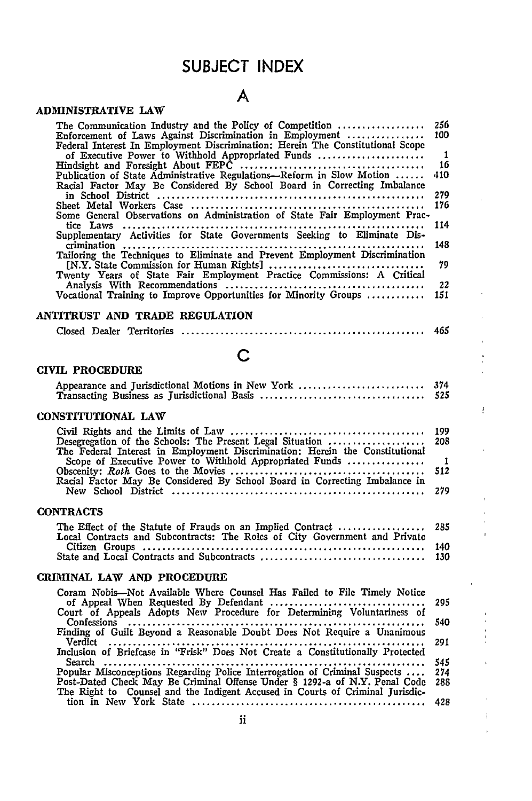## **SUBJECT INDEX**

## **A**

|  | <b>ADMINISTRATIVE LAW</b> |
|--|---------------------------|
|--|---------------------------|

| The Communication Industry and the Policy of Competition<br>Enforcement of Laws Against Discrimination in Employment<br>Federal Interest In Employment Discrimination: Herein The Constitutional Scope | 256<br>100   |
|--------------------------------------------------------------------------------------------------------------------------------------------------------------------------------------------------------|--------------|
| of Executive Power to Withhold Appropriated Funds                                                                                                                                                      | $\mathbf{1}$ |
|                                                                                                                                                                                                        | 16           |
| Publication of State Administrative Regulations—Reform in Slow Motion                                                                                                                                  | 410          |
| Racial Factor May Be Considered By School Board in Correcting Imbalance                                                                                                                                |              |
|                                                                                                                                                                                                        | 279          |
|                                                                                                                                                                                                        | 176          |
| Some General Observations on Administration of State Fair Employment Prac-                                                                                                                             |              |
|                                                                                                                                                                                                        | 114          |
| Supplementary Activities for State Governments Seeking to Eliminate Dis-                                                                                                                               |              |
|                                                                                                                                                                                                        | 148          |
| Tailoring the Techniques to Eliminate and Prevent Employment Discrimination                                                                                                                            |              |
|                                                                                                                                                                                                        | 79           |
|                                                                                                                                                                                                        |              |
| Twenty Years of State Fair Employment Practice Commissions: A Critical                                                                                                                                 |              |
|                                                                                                                                                                                                        | 22           |
| Vocational Training to Improve Opportunities for Minority Groups                                                                                                                                       | 151          |
|                                                                                                                                                                                                        |              |

#### **ANTITRUST AND** TRADE **REGULATION**

|--|--|--|--|--|--|

## **C**

#### CIVIL PROCEDURE

| Appearance and Jurisdictional Motions in New York                                                                                         | 374<br>525            |
|-------------------------------------------------------------------------------------------------------------------------------------------|-----------------------|
| CONSTITUTIONAL LAW                                                                                                                        |                       |
| Desegregation of the Schools: The Present Legal Situation<br>The Federal Interest in Employment Discrimination: Herein the Constitutional | 199<br>208            |
| Scope of Executive Power to Withhold Appropriated Funds                                                                                   | $\blacksquare$<br>512 |
| Racial Factor May Be Considered By School Board in Correcting Imbalance in                                                                | 279                   |
| <b>CONTRACTS</b>                                                                                                                          |                       |
| The Effect of the Statute of Frauds on an Implied Contract<br>Local Contracts and Subcontracts: The Roles of City Government and Private  | 285                   |
|                                                                                                                                           | 140<br>130            |

ŗ

#### **CRIMINAL LAW AND PROCEDURE**

| Coram Nobis—Not Available Where Counsel Has Failed to File Timely Notice        |       |
|---------------------------------------------------------------------------------|-------|
| Court of Appeals Adopts New Procedure for Determining Voluntariness of          |       |
|                                                                                 |       |
| Finding of Guilt Beyond a Reasonable Doubt Does Not Require a Unanimous         |       |
|                                                                                 |       |
| Inclusion of Briefcase in "Frisk" Does Not Create a Constitutionally Protected  |       |
|                                                                                 | 545   |
| Popular Misconceptions Regarding Police Interrogation of Criminal Suspects  274 |       |
| Post-Dated Check May Be Criminal Offense Under § 1292-a of N.Y. Penal Code      | - 288 |
| The Right to Counsel and the Indigent Accused in Courts of Criminal Jurisdic-   |       |
|                                                                                 |       |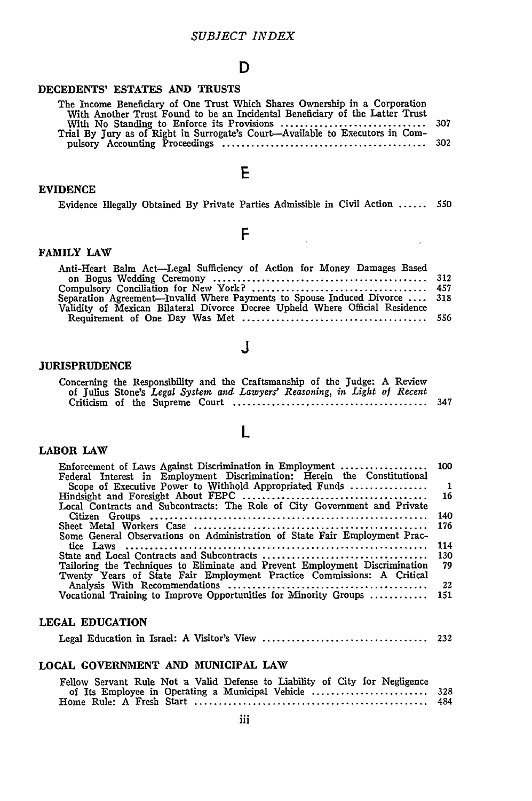#### **D**

#### **DECEDENTS' ESTATES AND TRUSTS**

| The Income Beneficiary of One Trust Which Shares Ownership in a Corporation   |  |
|-------------------------------------------------------------------------------|--|
| With Another Trust Found to be an Incidental Beneficiary of the Latter Trust  |  |
|                                                                               |  |
| Trial By Tury as of Right in Surrogate's Court—Available to Executors in Com- |  |
|                                                                               |  |
|                                                                               |  |

#### **EVIDENCE**

|  |  |  | Evidence Illegally Obtained By Private Parties Admissible in Civil Action  550 |  |  |
|--|--|--|--------------------------------------------------------------------------------|--|--|
|  |  |  |                                                                                |  |  |

 $\sim 10^7$ 

## F

**E**

#### **FAMILY LAW**

| Anti-Heart Balm Act--Legal Sufficiency of Action for Money Damages Based     |  |
|------------------------------------------------------------------------------|--|
|                                                                              |  |
|                                                                              |  |
| Separation Agreement—Invalid Where Payments to Spouse Induced Divorce  318   |  |
| Validity of Mexican Bilateral Divorce Decree Upheld Where Official Residence |  |
|                                                                              |  |

## **J**

#### **JURISPRUDENCE**

| Concerning the Responsibility and the Craftsmanship of the Judge: A Review |  |  |  |  |  |
|----------------------------------------------------------------------------|--|--|--|--|--|
| of Julius Stone's Legal System and Lawyers' Reasoning, in Light of Recent  |  |  |  |  |  |
|                                                                            |  |  |  |  |  |

L

#### **LABOR LAW**

| Enforcement of Laws Against Discrimination in Employment  100               |                |
|-----------------------------------------------------------------------------|----------------|
| Federal Interest in Employment Discrimination: Herein the Constitutional    |                |
| Scope of Executive Power to Withhold Appropriated Funds                     | $\blacksquare$ |
|                                                                             | -16            |
| Local Contracts and Subcontracts: The Role of City Government and Private   |                |
|                                                                             | 140            |
|                                                                             | 176            |
| Some General Observations on Administration of State Fair Employment Prac-  |                |
|                                                                             | 114            |
|                                                                             | 130            |
| Tailoring the Techniques to Eliminate and Prevent Employment Discrimination | 79             |
| Twenty Years of State Fair Employment Practice Commissions: A Critical      |                |
|                                                                             | 22             |
| Vocational Training to Improve Opportunities for Minority Groups            | 151            |
|                                                                             |                |

#### **LEGAL EDUCATION**

|--|--|--|--|--|--|--|--|--|

#### **LOCAL GOVERNMENT AND MUNICIPAL LAW**

| Fellow Servant Rule Not a Valid Defense to Liability of City for Negligence |  |
|-----------------------------------------------------------------------------|--|
|                                                                             |  |
|                                                                             |  |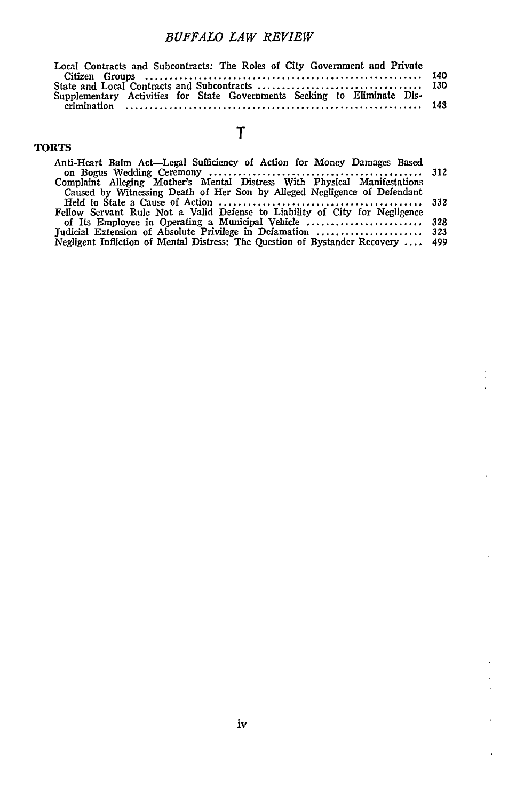#### *BUFFALO LAW REVIEW*

| Local Contracts and Subcontracts: The Roles of City Government and Private |  |
|----------------------------------------------------------------------------|--|
| Supplementary Activities for State Governments Seeking to Eliminate Dis-   |  |
|                                                                            |  |

## T

TORTS

| Anti-Heart Balm Act—Legal Sufficiency of Action for Money Damages Based          |  |
|----------------------------------------------------------------------------------|--|
| Complaint Alleging Mother's Mental Distress With Physical Manifestations         |  |
| Caused by Witnessing Death of Her Son by Alleged Negligence of Defendant         |  |
| Fellow Servant Rule Not a Valid Defense to Liability of City for Negligence      |  |
|                                                                                  |  |
|                                                                                  |  |
| Negligent Infliction of Mental Distress: The Question of Bystander Recovery  499 |  |

 $\frac{1}{3}$ j

 $\ddot{\phantom{1}}$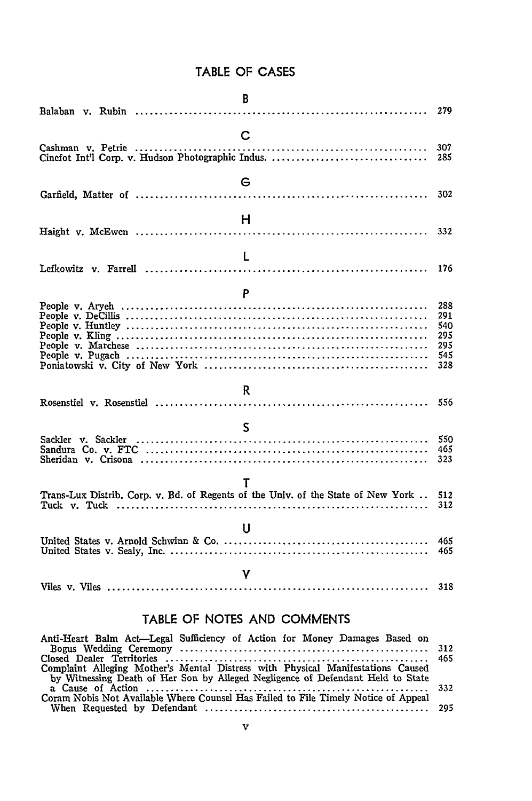## TABLE OF **CASES**

| B                                                                                     | 279                                           |
|---------------------------------------------------------------------------------------|-----------------------------------------------|
| $\mathbf C$                                                                           | 307<br>285                                    |
| G                                                                                     | 302                                           |
| н                                                                                     | 332                                           |
| L                                                                                     | 176                                           |
| P                                                                                     |                                               |
|                                                                                       | 288<br>291<br>540<br>295<br>295<br>545<br>328 |
| R.                                                                                    | 556                                           |
| S                                                                                     | 550<br>465<br>323                             |
| Т<br>Trans-Lux Distrib. Corp. v. Bd. of Regents of the Univ. of the State of New York | 512<br>312                                    |
| Ħ                                                                                     | 465<br>465                                    |
| v                                                                                     | 318                                           |

#### TABLE OF **NOTES AND COMMENTS**

| Anti-Heart Balm Act—Legal Sufficiency of Action for Money Damages Based on         |  |
|------------------------------------------------------------------------------------|--|
|                                                                                    |  |
|                                                                                    |  |
| Complaint Alleging Mother's Mental Distress with Physical Manifestations Caused    |  |
| by Witnessing Death of Her Son by Alleged Negligence of Defendant Held to State    |  |
|                                                                                    |  |
| Coram Nobis Not Available Where Counsel Has Failed to File Timely Notice of Appeal |  |
|                                                                                    |  |
|                                                                                    |  |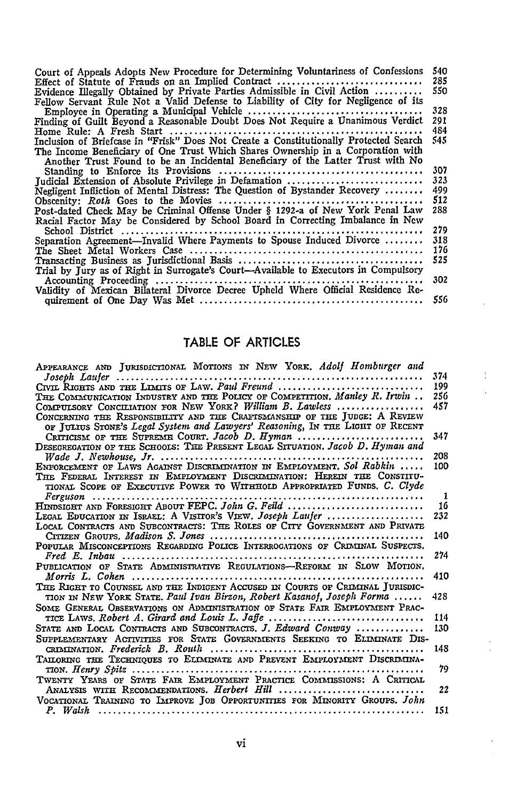| Court of Appeals Adopts New Procedure for Determining Voluntariness of Confessions    | 540. |
|---------------------------------------------------------------------------------------|------|
| Effect of Statute of Frauds on an Implied Contract                                    | 285. |
| Evidence Illegally Obtained by Private Parties Admissible in Civil Action             | 550  |
| Fellow Servant Rule Not a Valid Defense to Liability of City for Negligence of its    |      |
|                                                                                       | 328  |
| Finding of Guilt Beyond a Reasonable Doubt Does Not Require a Unanimous Verdict       | 291  |
|                                                                                       | 484  |
| Inclusion of Briefcase in "Frisk" Does Not Create a Constitutionally Protected Search | 545  |
| The Income Beneficiary of One Trust Which Shares Ownership in a Corporation with      |      |
| Another Trust Found to be an Incidental Beneficiary of the Latter Trust with No       |      |
|                                                                                       | 307. |
| Tudicial Extension of Absolute Privilege in Defamation                                | 323  |
| Negligent Infliction of Mental Distress: The Question of Bystander Recovery           | 499  |
|                                                                                       | 512  |
| Post-dated Check May be Criminal Offense Under § 1292-a of New York Penal Law         | 288  |
| Racial Factor May be Considered by School Board in Correcting Imbalance in New        |      |
|                                                                                       | 279  |
| Separation Agreement-Invalid Where Payments to Spouse Induced Divorce                 | 318  |
|                                                                                       | 176  |
|                                                                                       | 525. |
| Trial by Jury as of Right in Surrogate's Court—Available to Executors in Compulsory   |      |
|                                                                                       | 302  |
| Validity of Mexican Bilateral Divorce Decree Upheld Where Official Residence Re-      |      |
|                                                                                       | 556  |
|                                                                                       |      |

## TABLE **OF** ARTICLES

Ť

| APPEARANCE AND JURISDICTIONAL MOTIONS IN NEW YORK. Adolf Homburger and        |     |
|-------------------------------------------------------------------------------|-----|
| Joseph Lauter                                                                 | 374 |
| CIVIL RIGHTS AND THE LIMITS OF LAW. Paul Freund                               | 199 |
| THE COMMUNICATION INDUSTRY AND THE POLICY OF COMPETITION. Manley R. Irwin     | 256 |
| COMPULSORY CONCILIATION FOR NEW YORK? William B. Lawless                      | 457 |
| CONCERNING THE RESPONSIBILITY AND THE CRAFISMANSHIP OF THE JUDGE: A REVIEW    |     |
| OF JULIUS STONE's Legal System and Lawyers' Reasoning, IN THE LIGHT OF RECENT |     |
| CRITICISM OF THE SUPREME COURT. Jacob D. Hyman                                | 347 |
| DESEGREGATION OF THE SCHOOLS: THE PRESENT LEGAL SITUATION. Jacob D. Hyman and |     |
|                                                                               | 208 |
| ENFORCEMENT OF LAWS AGAINST DISCRIMINATION IN EMPLOYMENT. Sol Rabkin          | 100 |
| THE FEDERAL INTEREST IN EMPLOYMENT DISCRIMINATION: HEREIN THE CONSTITU-       |     |
| TIONAL SCOPE OF EXECUTIVE POWER TO WITHHOLD APPROPRIATED FUNDS. C. Clyde      |     |
|                                                                               | -1  |
| HINDSIGHT AND FORESIGHT ABOUT FEPC. John G. Feild                             | 16  |
| LEGAL EDUCATION IN ISRAEL: A VISITOR'S VIEW. Joseph Laufer                    | 232 |
| LOCAL CONTRACTS AND SUBCONTRACTS: THE ROLES OF CITY GOVERNMENT AND PRIVATE    |     |
|                                                                               | 140 |
| POPULAR MISCONCEPTIONS REGARDING POLICE INTERROGATIONS OF CRIMINAL SUSPECTS.  |     |
|                                                                               | 274 |
| PUBLICATION OF STATE ADMINISTRATIVE REGULATIONS-REFORM IN SLOW MOTION.        |     |
|                                                                               | 410 |
| THE RIGHT TO COUNSEL AND THE INDIGENT ACCUSED IN COURTS OF CRIMINAL JURISDIC- |     |
| TION IN NEW YORK STATE. Paul Ivan Birzon, Robert Kasanof, Joseph Forma        | 428 |
| SOME GENERAL OBSERVATIONS ON ADMINISTRATION OF STATE FAIR EMPLOYMENT PRAC-    |     |
|                                                                               | 114 |
| STATE AND LOCAL CONTRACTS AND SUBCONTRACTS, J. Edward Conway                  | 130 |
| SUPPLEMENTARY ACTIVITIES FOR STATE GOVERNMENTS SEEKING TO ELIMINATE DIS-      |     |
|                                                                               | 148 |
| TAILORING THE TECHNIQUES TO ELLMINATE AND PREVENT EMPLOYMENT DISCRIMINA-      |     |
|                                                                               | 79  |
| TWENTY YEARS OF STATE FAIR EMPLOYMENT PRACTICE COMMISSIONS: A CRITICAL        |     |
| ANALYSIS WITH RECOMMENDATIONS. Herbert Hill                                   | 22  |
| VOCATIONAL TRAINING TO IMPROVE JOB OPPORTUNITIES FOR MINORITY GROUPS. John    |     |
|                                                                               | 151 |
|                                                                               |     |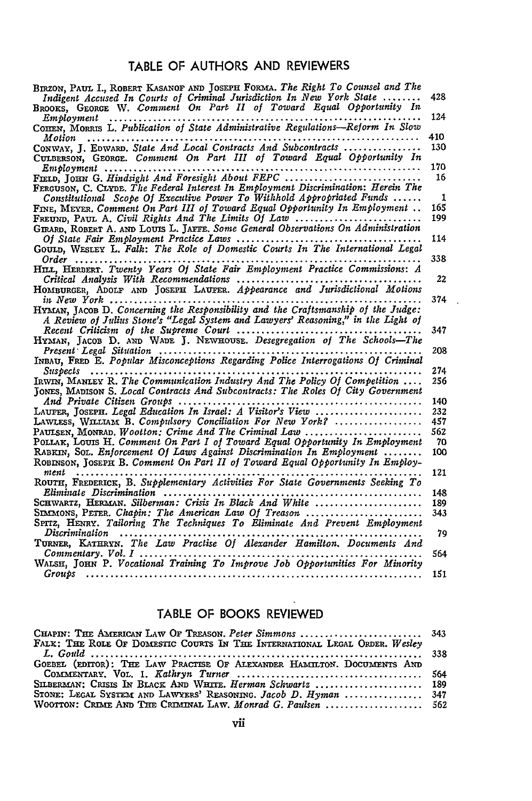## TABLE OF **AUTHORS AND** REVIEWERS

| BIRZON, PAUL I., ROBERT KASANOF AND JOSEPH FORMA. The Right To Counsel and The                                  |     |
|-----------------------------------------------------------------------------------------------------------------|-----|
| Indigent Accused In Courts of Criminal Jurisdiction In New York State                                           | 428 |
| BROOKS, GEORGE W. Comment On Part II of Toward Equal Opportunity In                                             | 124 |
| $Em$ bloyment<br>.<br>COHEN, MORRIS L. Publication of State Administrative Regulations--Reform In Slow          |     |
| Motion                                                                                                          | 410 |
| CONWAY, J. EDWARD. State And Local Contracts And Subcontracts                                                   | 130 |
| CULBERSON, GEORGE. Comment On Part III of Toward Equal Opportunity In                                           | 170 |
| FIELD, JOHN G. Hindsight And Foresight About FEPC                                                               | 16  |
| FERGUSON, C. CLYDE. The Federal Interest In Employment Discrimination: Herein The                               |     |
| Constitutional Scope Of Executive Power To Withhold Appropriated Funds                                          | 1   |
| FINE, MEYER, Comment On Part III of Toward Equal Opportunity In Employment                                      | 165 |
|                                                                                                                 | 199 |
| GIRARD, ROBERT A. AND LOUIS L. JAFFE. Some General Observations On Administration                               |     |
| GOULD, WESLEY L. Falk: The Role of Domestic Courts In The International Legal                                   | 114 |
|                                                                                                                 | 338 |
| HILL, HERBERT. Twenty Years Of State Fair Employment Practice Commissions: A                                    |     |
|                                                                                                                 | 22  |
| HOMBURGER, ADOLF AND JOSEPH LAUFER. Appearance and Jurisdictional Motions                                       |     |
|                                                                                                                 | 374 |
| HYMAN, JACOB D. Concerning the Responsibility and the Craftsmanship of the Judge:                               |     |
| A Review of Julius Stone's "Legal System and Lawyers' Reasoning," in the Light of                               | 347 |
| Recent Criticism of the Supreme Court<br>HYMAN, JACOB D. AND WADE J. NEWHOUSE. Desegregation of The Schools-The |     |
|                                                                                                                 | 208 |
|                                                                                                                 |     |
| Susbects                                                                                                        | 274 |
| IRWIN, MANLEY R. The Communication Industry And The Policy Of Competition                                       | 256 |
| TONES, MADISON S. Local Contracts And Subcontracts: The Roles Of City Government                                |     |
|                                                                                                                 | 140 |
| LAUFER, JOSEPH. Legal Education In Israel: A Visitor's View                                                     | 232 |
| LAWLESS, WILLIAM B. Compulsory Conciliation For New York?                                                       | 457 |
| PAULSEN, MONRAD. Wootton: Crime And The Criminal Law $\ldots \ldots \ldots \ldots \ldots \ldots$                | 562 |
| POLLAK, LOUIS H. Comment On Part I of Toward Equal Opportunity In Employment                                    | -70 |
| RABRIN, SOL. Enforcement Of Laws Against Discrimination In Employment                                           | 100 |
| ROBINSON, JOSEPH B. Comment On Part II of Toward Equal Opportunity In Employ-<br>$ment$ ,                       | 121 |
| ROUTH, FREDERICK, B. Supplementary Activities For State Governments Seeking To                                  | 148 |
|                                                                                                                 | 189 |
| SIMMONS, PETER, Chapin: The American Law Of Treason                                                             | 343 |
| SPITZ, HENRY. Tailoring The Techniques To Eliminate And Prevent Employment                                      |     |
| Discrimination<br>TURNER, KATHRYN. The Law Practise Of Alexander Hamilton. Documents And                        | 79  |
| $Commentary.$ Vol. $I$ , $\ldots$ , $\ldots$                                                                    | 564 |
| WALSH, JOHN P. Vocational Training To Improve Job Opportunities For Minority                                    |     |
| Groups<br>.                                                                                                     | 151 |

## TABLE **OF** BOOKS REVIEWED

| CHAPIN: THE AMERICAN LAW OF TREASON. Peter Simmons  343                    |  |
|----------------------------------------------------------------------------|--|
| FALK: THE ROLE OF DOMESTIC COURTS IN THE INTERNATIONAL LEGAL ORDER, Wesley |  |
|                                                                            |  |
| GOEBEL (EDITOR): THE LAW PRACTISE OF ALEXANDER HAMILTON, DOCUMENTS AND     |  |
|                                                                            |  |
| SILBERMAN: CRISIS IN BLACK AND WHITE. Herman Schwartz  189                 |  |
| STONE: LEGAL SYSTEM AND LAWYERS' REASONING. Jacob D. Hyman  347            |  |
| WOOTTON: CRIME AND THE CRIMINAL LAW. Monrad G. Paulsen  562                |  |